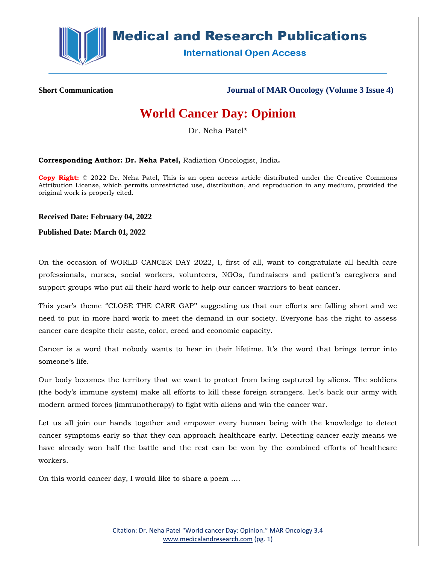

## **Medical and Research Publications**

**International Open Access** 

**Short Communication Journal of MAR Oncology (Volume 3 Issue 4)**

## **World Cancer Day: Opinion**

Dr. Neha Patel\*

**Corresponding Author: Dr. Neha Patel,** Radiation Oncologist, India**.**

**Copy Right:** © 2022 Dr. Neha Patel, This is an open access article distributed under the Creative Commons Attribution License, which permits unrestricted use, distribution, and reproduction in any medium, provided the original work is properly cited.

**Received Date: February 04, 2022**

**Published Date: March 01, 2022**

On the occasion of WORLD CANCER DAY 2022, I, first of all, want to congratulate all health care professionals, nurses, social workers, volunteers, NGOs, fundraisers and patient's caregivers and support groups who put all their hard work to help our cancer warriors to beat cancer.

This year's theme "CLOSE THE CARE GAP" suggesting us that our efforts are falling short and we need to put in more hard work to meet the demand in our society. Everyone has the right to assess cancer care despite their caste, color, creed and economic capacity.

Cancer is a word that nobody wants to hear in their lifetime. It's the word that brings terror into someone's life.

Our body becomes the territory that we want to protect from being captured by aliens. The soldiers (the body's immune system) make all efforts to kill these foreign strangers. Let's back our army with modern armed forces (immunotherapy) to fight with aliens and win the cancer war.

Let us all join our hands together and empower every human being with the knowledge to detect cancer symptoms early so that they can approach healthcare early. Detecting cancer early means we have already won half the battle and the rest can be won by the combined efforts of healthcare workers.

On this world cancer day, I would like to share a poem ….